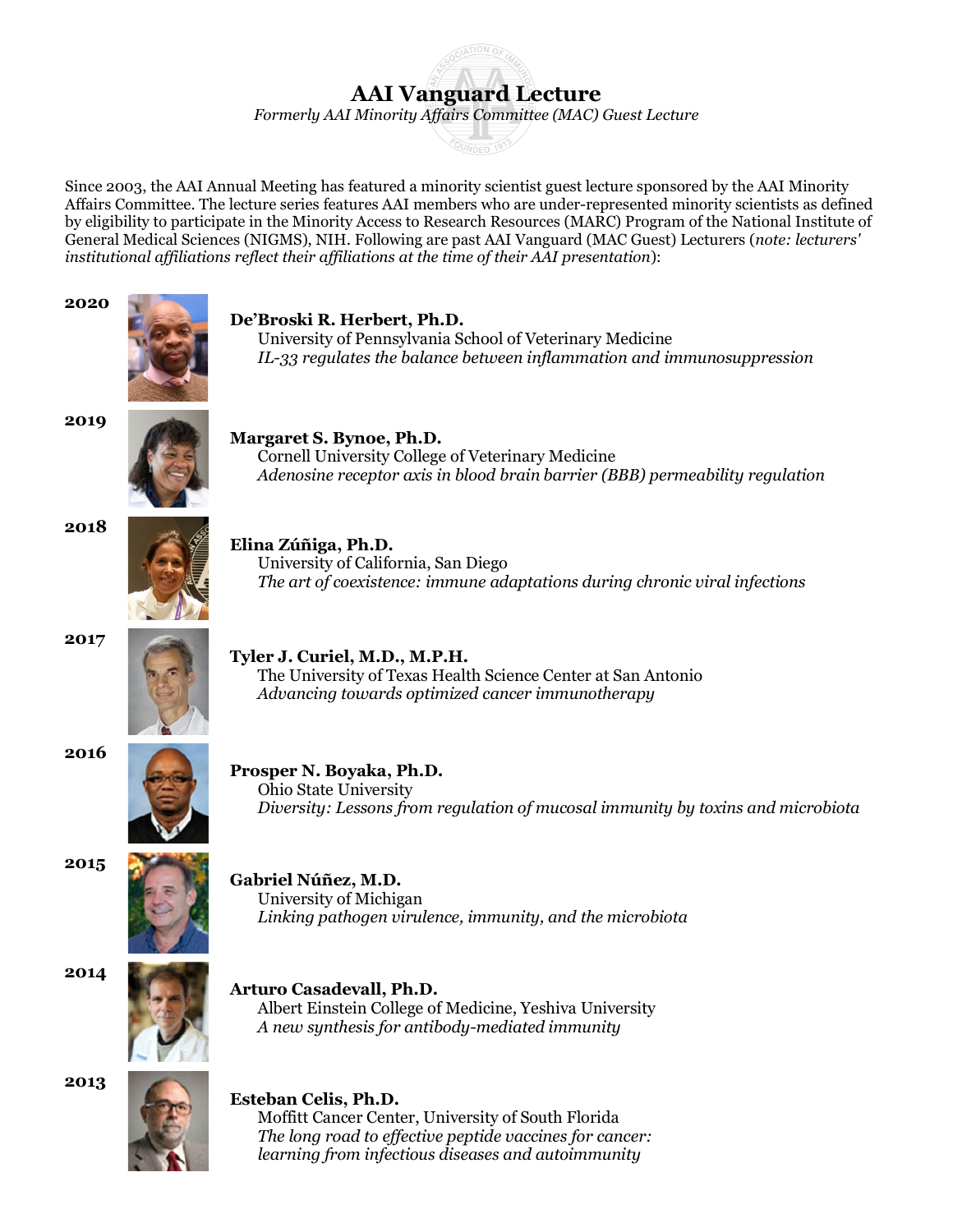## **AAI Vanguard Lecture**

*Formerly AAI Minority Affairs Committee (MAC) Guest Lecture*

Since 2003, the AAI Annual Meeting has featured a minority scientist guest lecture sponsored by the AAI Minority Affairs Committee. The lecture series features AAI members who are under-represented minority scientists as defined by eligibility to participate in the Minority Access to Research Resources (MARC) Program of the National Institute of General Medical Sciences (NIGMS), NIH. Following are past AAI Vanguard (MAC Guest) Lecturers (*note: lecturers' institutional affiliations reflect their affiliations at the time of their AAI presentation*):



 *learning from infectious diseases and autoimmunity*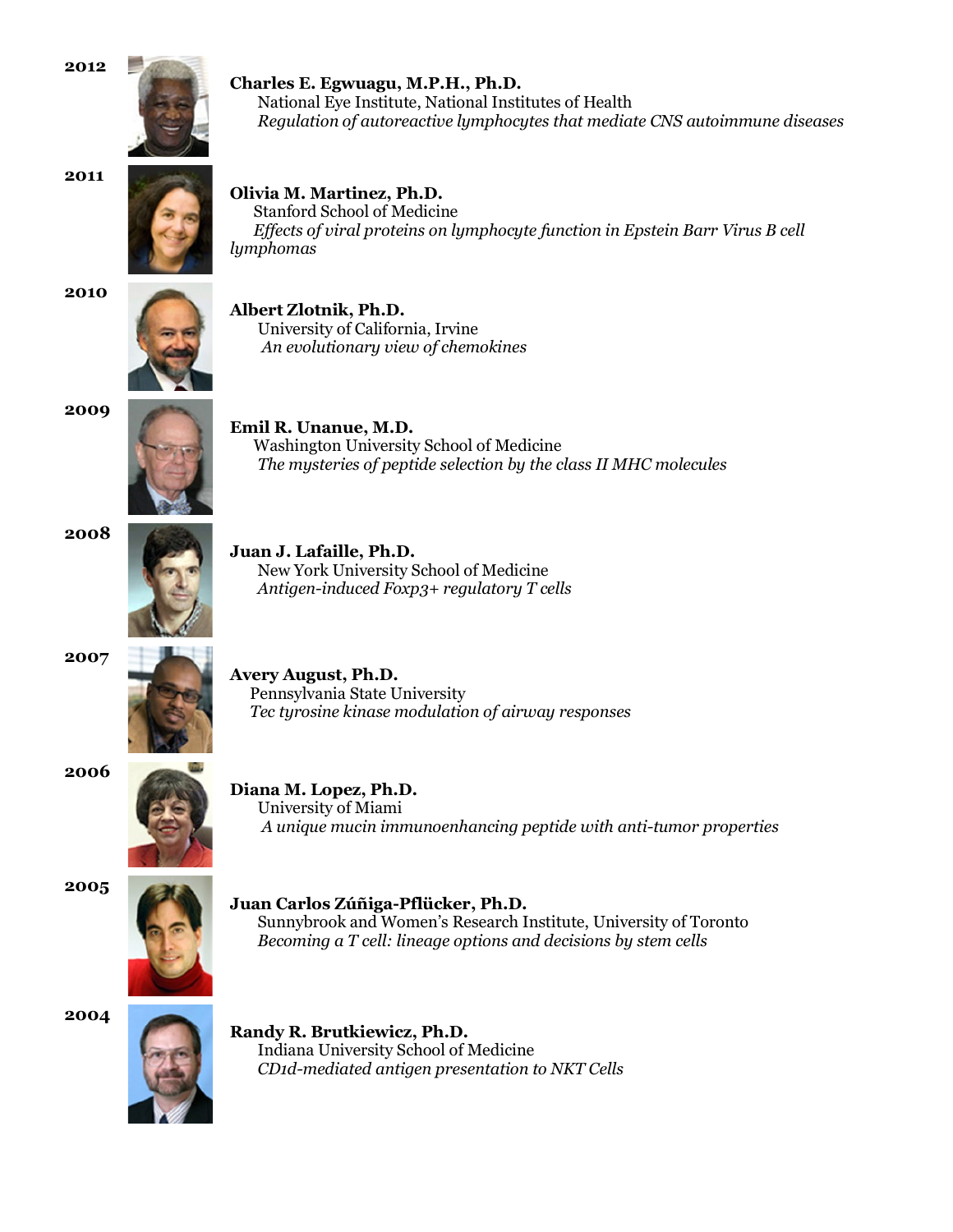**2012** 



**Charles E. Egwuagu, M.P.H., Ph.D.** National Eye Institute, National Institutes of Health *Regulation of autoreactive lymphocytes that mediate CNS autoimmune diseases*



**Olivia M. Martinez, Ph.D.**

 Stanford School of Medicine  *Effects of viral proteins on lymphocyte function in Epstein Barr Virus B cell lymphomas*



**Albert Zlotnik, Ph.D.** University of California, Irvine  *An evolutionary view of chemokines*





**Emil R. Unanue, M.D.**

 Washington University School of Medicine  *The mysteries of peptide selection by the class II MHC molecules*





**Juan J. Lafaille, Ph.D.** New York University School of Medicine  *Antigen-induced Foxp3+ regulatory T cells*





**Avery August, Ph.D.** Pennsylvania State University  *Tec tyrosine kinase modulation of airway responses*





**Diana M. Lopez, Ph.D.** University of Miami *A unique mucin immunoenhancing peptide with anti-tumor properties*

**2005** 



**Juan Carlos Zúñiga-Pflücker, Ph.D.** Sunnybrook and Women's Research Institute, University of Toronto  *Becoming a T cell: lineage options and decisions by stem cells*

**2004** 



**Randy R. Brutkiewicz, Ph.D.** Indiana University School of Medicine  *CD1d-mediated antigen presentation to NKT Cells*